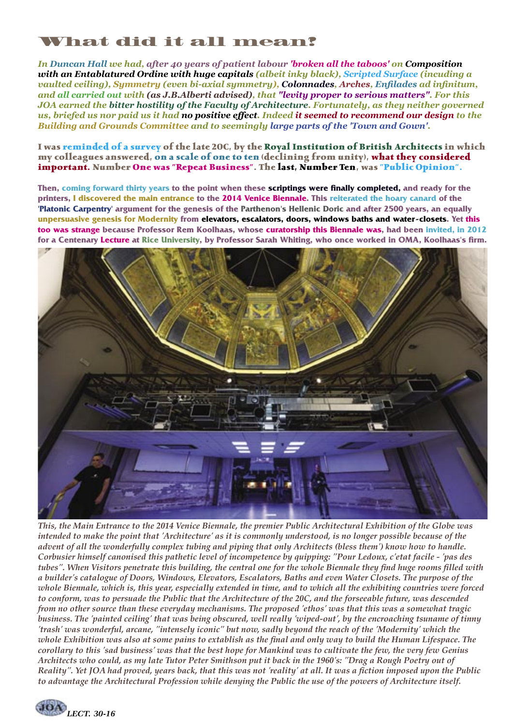## What did it all mean?

*In Duncan Hall we had, after 40 years of patient labour 'broken all the taboos' on Composition with an Entablatured Ordine with huge capitals (albeit inky black), Scripted Surface (incuding a vaulted ceiling), Symmetry (even bi-axial symmetry), Colonnades, Arches, Enfilades ad infinitum, and all carried out with (as J.B.Alberti advised), that "levity proper to serious matters". For this JOA earned the bitter hostility of the Faculty of Architecture. Fortunately, as they neither governed us, briefed us nor paid us it had no positive effect. Indeed it seemed to recommend our design to the Building and Grounds Committee and to seemingly large parts of the 'Town and Gown'.*

**I was reminded of a survey of the late 20C, by the Royal Institution of British Architects in which my colleagues answered, on a scale of one to ten (declining from unity), what they considered important. Number One was "Repeat Business". The last, Number Ten, was "Public Opinion".**

**Then, coming forward thirty years to the point when these scriptings were finally completed, and ready for the printers, I discovered the main entrance to the 2014 Venice Biennale. This reiterated the hoary canard of the 'Platonic Carpentry' argument for the genesis of the Parthenon's Hellenic Doric and after 2500 years, an equally unpersuasive genesis for Modernity from elevators, escalators, doors, windows baths and water-closets. Yet this too was strange because Professor Rem Koolhaas, whose curatorship this Biennale was, had been invited, in 2012 for a Centenary Lecture at Rice University, by Professor Sarah Whiting, who once worked in OMA, Koolhaas's firm.**



*This, the Main Entrance to the 2014 Venice Biennale, the premier Public Architectural Exhibition of the Globe was intended to make the point that 'Architecture' as it is commonly understood, is no longer possible because of the advent of all the wonderfully complex tubing and piping that only Architects (bless them') know how to handle. Corbusier himself canonised this pathetic level of incompetence by quipping: "Pour Ledoux, c'etat facile - 'pas des tubes". When Visitors penetrate this building, the central one for the whole Biennale they find huge rooms filled with a builder's catalogue of Doors, Windows, Elevators, Escalators, Baths and even Water Closets. The purpose of the whole Biennale, which is, this year, especially extended in time, and to which all the exhibiting countries were forced to conform, was to persuade the Public that the Architecture of the 20C, and the forseeable future, was descended from no other source than these everyday mechanisms. The proposed 'ethos' was that this was a somewhat tragic business. The 'painted ceiling' that was being obscured, well really 'wiped-out', by the encroaching tsuname of tinny 'trash' was wonderful, arcane, "intensely iconic" but now, sadly beyond the reach of the 'Modernity' which the whole Exhibition was also at some pains to extablish as the final and only way to build the Human Lifespace. The corollary to this 'sad business' was that the best hope for Mankind was to cultivate the few, the very few Genius Architects who could, as my late Tutor Peter Smithson put it back in the 1960's: "Drag a Rough Poetry out of Reality". Yet JOA had proved, years back, that this was not 'reality' at all. It was a fiction imposed upon the Public to advantage the Architectural Profession while denying the Public the use of the powers of Architecture itself.*